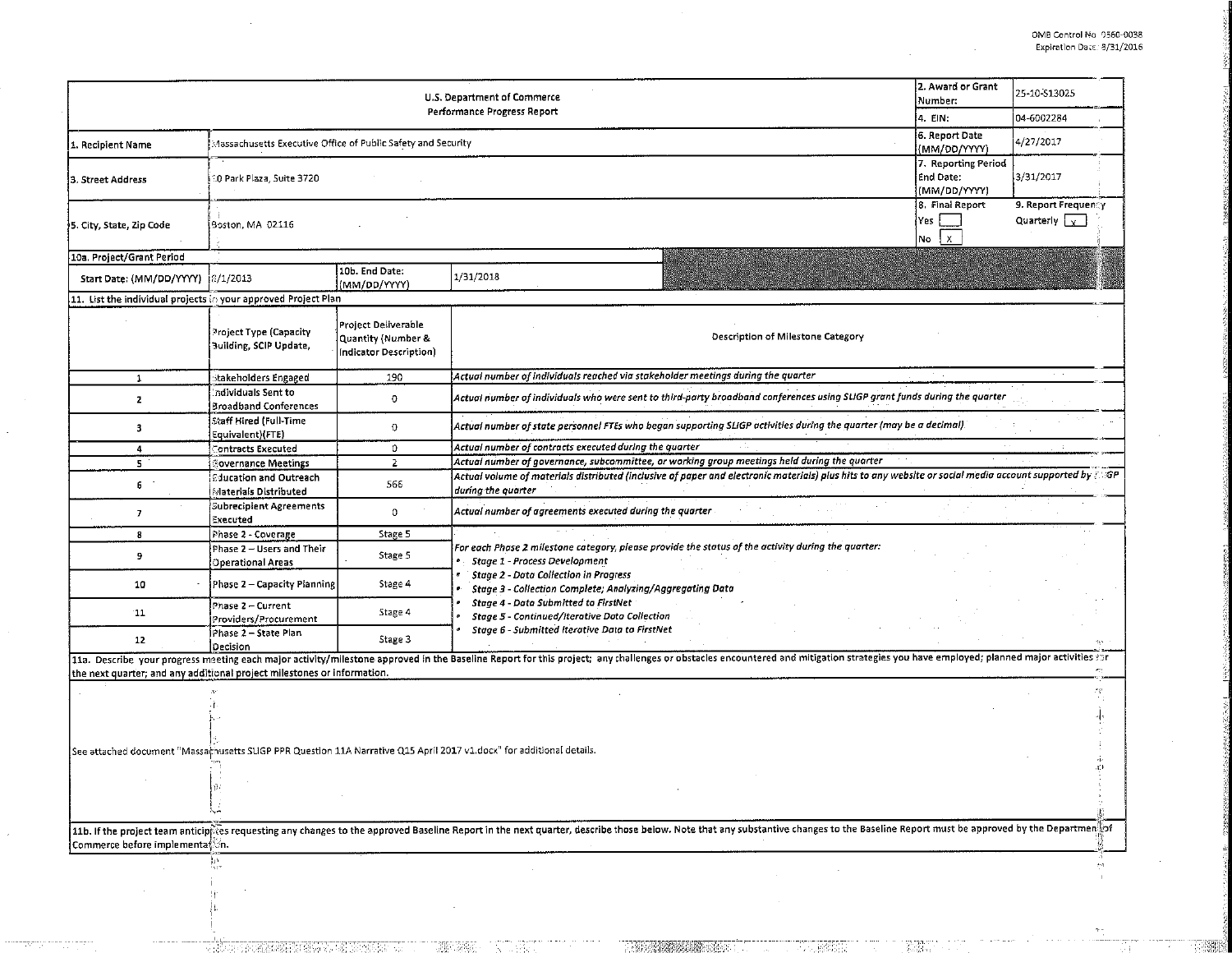|                                                                         | 2. Award or Grant<br>Number:<br> 4. EIN:                     | 25-10-S13025<br>04-6002284                                          |                                                                                                                                                                                                                                |                                                |                                             |  |  |  |  |  |
|-------------------------------------------------------------------------|--------------------------------------------------------------|---------------------------------------------------------------------|--------------------------------------------------------------------------------------------------------------------------------------------------------------------------------------------------------------------------------|------------------------------------------------|---------------------------------------------|--|--|--|--|--|
|                                                                         |                                                              |                                                                     |                                                                                                                                                                                                                                |                                                |                                             |  |  |  |  |  |
| i. Recipient Name                                                       | Aassachusetts Executive Office of Public Safety and Security | 6. Report Date<br>(MM/DD/YYYY)                                      | 4/27/2017                                                                                                                                                                                                                      |                                                |                                             |  |  |  |  |  |
| 3. Street Address                                                       | 10 Park Plaza, Suite 3720                                    | 7. Reporting Period<br>End Date:<br>(MM/DD/YYYY)                    | 3/31/2017                                                                                                                                                                                                                      |                                                |                                             |  |  |  |  |  |
| 5. City, State, Zip Code                                                | Boston, MA 02116                                             |                                                                     |                                                                                                                                                                                                                                | 8. Final Report<br> Yes<br>$\mathbf{x}$<br> No | 9. Report Frequency<br>Quarterly $\sqrt{x}$ |  |  |  |  |  |
| 10a. Project/Grant Period                                               |                                                              |                                                                     |                                                                                                                                                                                                                                |                                                |                                             |  |  |  |  |  |
| Start Date: (MM/DD/YYYY)                                                | 8/1/2013                                                     | 10b. End Date:<br>(MM/DD/YYYY)                                      | 1/31/2018                                                                                                                                                                                                                      |                                                |                                             |  |  |  |  |  |
| 11. List the individual projects in your approved Project Plan          |                                                              |                                                                     |                                                                                                                                                                                                                                |                                                |                                             |  |  |  |  |  |
|                                                                         | Project Type (Capacity<br>Building, SCIP Update,             | Project Deliverable<br>Quantity (Number &<br>Indicator Description) | Description of Milestone Category                                                                                                                                                                                              |                                                |                                             |  |  |  |  |  |
| 1                                                                       | stakeholders Engaged                                         | 190                                                                 | Actual number of individuals reached via stakeholder meetings during the quarter                                                                                                                                               |                                                |                                             |  |  |  |  |  |
| $\mathbf{z}$                                                            | Individuals Sent to<br><b>Broadband Conferences</b>          | $\circ$                                                             | Actual number of individuals who were sent to third-party broadband conferences using SLIGP grant funds during the quarter                                                                                                     |                                                |                                             |  |  |  |  |  |
| 3                                                                       | Staff Hired (Full-Time<br>Equivalent)(FTE)                   | $\circ$                                                             | Actual number of state personnel FTEs who began supporting SLIGP activities during the quarter (may be a decimal).                                                                                                             |                                                |                                             |  |  |  |  |  |
| 4                                                                       | <b>Contracts Executed</b>                                    | $\mathbf{0}$                                                        | Actual number of contracts executed during the quarter                                                                                                                                                                         |                                                |                                             |  |  |  |  |  |
| 5 <sub>1</sub>                                                          | Sovernance Meetings                                          | $\overline{2}$                                                      | Actual number of governance, subcommittee, or working group meetings held during the quarter                                                                                                                                   |                                                |                                             |  |  |  |  |  |
| 6                                                                       | <b>Education and Outreach</b><br>Materials Distributed       | 566                                                                 | Actual volume of materials distributed (inclusive of paper and electronic materials) plus hits to any website or social media account supported by $\mathbb{Z}$ GP<br>during the quarter                                       |                                                |                                             |  |  |  |  |  |
| $\overline{z}$                                                          | Subrecipient Agreements<br>Executed                          | $\mathbf 0$                                                         | Actual number of agreements executed during the quarter                                                                                                                                                                        |                                                |                                             |  |  |  |  |  |
| 8                                                                       | Phase 2 - Coverage                                           | Stage 5                                                             |                                                                                                                                                                                                                                |                                                |                                             |  |  |  |  |  |
| 9                                                                       | Phase 2 - Users and Their<br>Operational Areas               | Stage 5                                                             | For each Phase 2 milestone category, please provide the status of the activity during the quarter:<br>Stage 1 - Process Development                                                                                            |                                                |                                             |  |  |  |  |  |
| 10                                                                      | Phase 2 - Capacity Planning                                  | Stage 4                                                             | <b>Stage 2 - Data Collection in Progress</b><br>Stage 3 - Collection Complete; Analyzing/Aggregating Data                                                                                                                      |                                                |                                             |  |  |  |  |  |
| 11                                                                      | Phase 2 - Current<br>Providers/Procurement                   | Stage 4                                                             | Stage 4 - Data Submitted to FirstNet<br>Stage 5 - Continued/Iterative Data Collection                                                                                                                                          |                                                |                                             |  |  |  |  |  |
| 12                                                                      | Phase 2 - State Plan<br>Decision                             | Stage 3                                                             | Stage 6 - Submitted Iterative Data to FirstNet                                                                                                                                                                                 |                                                |                                             |  |  |  |  |  |
|                                                                         |                                                              |                                                                     | 11a. Describe your progress meeting each major activity/milestone approved in the Baseline Report for this project; any challenges or obstacles encountered and mitigation strategies you have employed; planned major activit |                                                |                                             |  |  |  |  |  |
| the next quarter; and any additional project milestones or information. |                                                              |                                                                     |                                                                                                                                                                                                                                |                                                |                                             |  |  |  |  |  |
|                                                                         |                                                              |                                                                     |                                                                                                                                                                                                                                |                                                | 78.                                         |  |  |  |  |  |
|                                                                         |                                                              |                                                                     |                                                                                                                                                                                                                                |                                                |                                             |  |  |  |  |  |
|                                                                         |                                                              |                                                                     | See attached document "Massachusetts SLIGP PPR Question 11A Narrative Q15 April 2017 v1.docx" for additional details.                                                                                                          |                                                |                                             |  |  |  |  |  |
|                                                                         |                                                              |                                                                     |                                                                                                                                                                                                                                |                                                |                                             |  |  |  |  |  |
|                                                                         |                                                              |                                                                     |                                                                                                                                                                                                                                |                                                |                                             |  |  |  |  |  |
| Commerce before implementation.                                         |                                                              |                                                                     | 11b. If the project team anticip test requesting any changes to the approved Baseline Report in the next quarter, describe those below. Note that any substantive changes to the Baseline Report must be approved by the Depar |                                                |                                             |  |  |  |  |  |
|                                                                         | $\prod_{\alpha\in\mathcal{P}}\alpha$                         |                                                                     |                                                                                                                                                                                                                                |                                                | 21                                          |  |  |  |  |  |
|                                                                         |                                                              |                                                                     |                                                                                                                                                                                                                                |                                                |                                             |  |  |  |  |  |

Ιł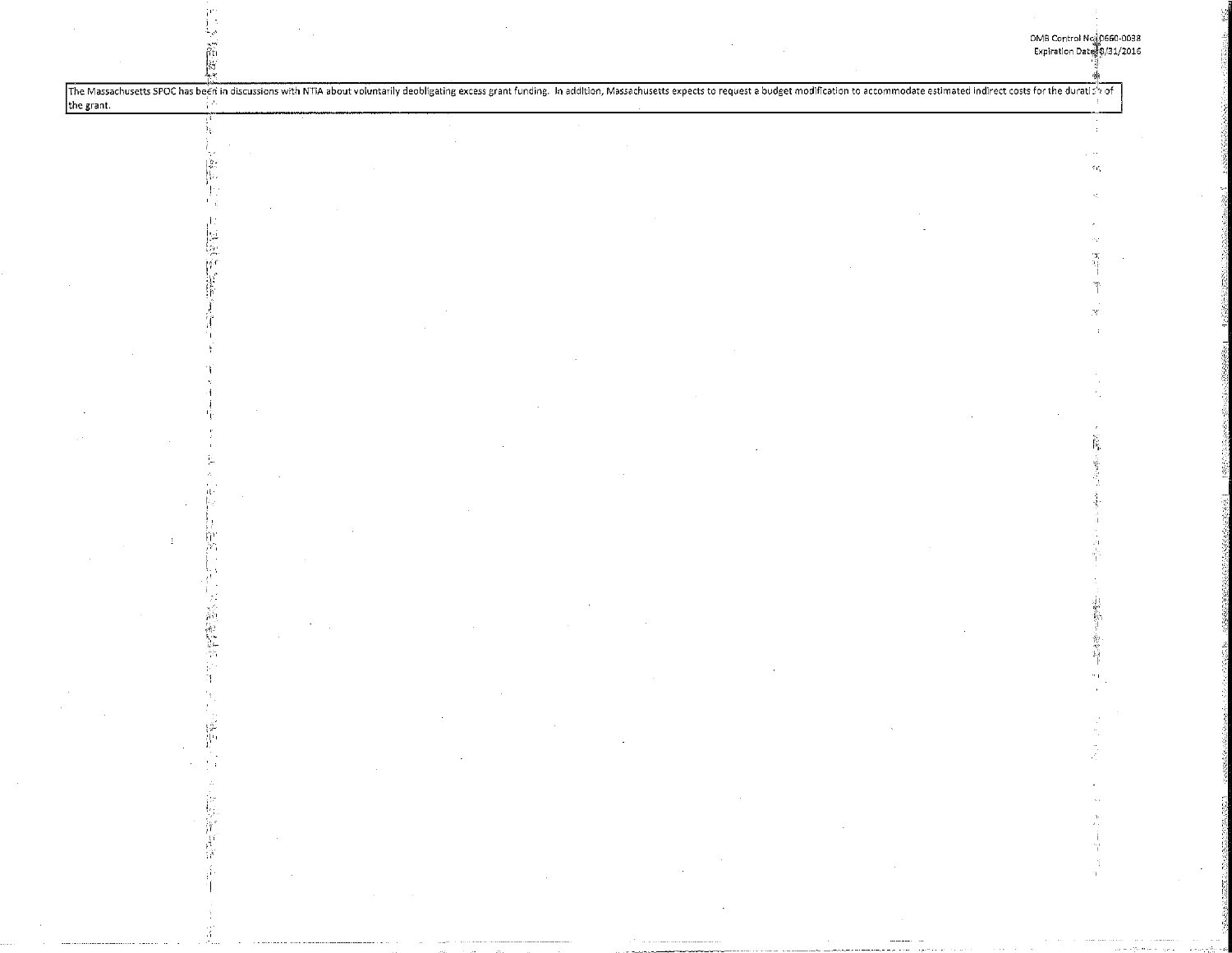| the grant. |        |                             |                                            | The Massachusetts SPOC has been in discussions with NTIA about voluntarily deobligating excess grant funding. In addition, Massachusetts expects to request a budget modification to accommodate estimated indirect costs for |                                                                                     |                                                                                                                                                                                                                                                                                                                                                                  |                                                                                                                          |  |     |
|------------|--------|-----------------------------|--------------------------------------------|-------------------------------------------------------------------------------------------------------------------------------------------------------------------------------------------------------------------------------|-------------------------------------------------------------------------------------|------------------------------------------------------------------------------------------------------------------------------------------------------------------------------------------------------------------------------------------------------------------------------------------------------------------------------------------------------------------|--------------------------------------------------------------------------------------------------------------------------|--|-----|
|            |        |                             |                                            |                                                                                                                                                                                                                               |                                                                                     |                                                                                                                                                                                                                                                                                                                                                                  |                                                                                                                          |  |     |
|            |        |                             |                                            |                                                                                                                                                                                                                               |                                                                                     |                                                                                                                                                                                                                                                                                                                                                                  |                                                                                                                          |  |     |
|            |        |                             |                                            |                                                                                                                                                                                                                               |                                                                                     |                                                                                                                                                                                                                                                                                                                                                                  |                                                                                                                          |  | ¢ε, |
|            |        |                             |                                            |                                                                                                                                                                                                                               |                                                                                     |                                                                                                                                                                                                                                                                                                                                                                  |                                                                                                                          |  |     |
|            |        |                             |                                            |                                                                                                                                                                                                                               |                                                                                     |                                                                                                                                                                                                                                                                                                                                                                  |                                                                                                                          |  |     |
|            |        |                             |                                            |                                                                                                                                                                                                                               |                                                                                     |                                                                                                                                                                                                                                                                                                                                                                  |                                                                                                                          |  |     |
|            |        |                             |                                            |                                                                                                                                                                                                                               |                                                                                     |                                                                                                                                                                                                                                                                                                                                                                  |                                                                                                                          |  |     |
|            |        |                             |                                            |                                                                                                                                                                                                                               |                                                                                     |                                                                                                                                                                                                                                                                                                                                                                  |                                                                                                                          |  |     |
|            |        |                             |                                            |                                                                                                                                                                                                                               |                                                                                     |                                                                                                                                                                                                                                                                                                                                                                  |                                                                                                                          |  |     |
|            |        |                             |                                            |                                                                                                                                                                                                                               |                                                                                     |                                                                                                                                                                                                                                                                                                                                                                  |                                                                                                                          |  |     |
|            |        |                             |                                            |                                                                                                                                                                                                                               |                                                                                     |                                                                                                                                                                                                                                                                                                                                                                  |                                                                                                                          |  |     |
|            |        |                             |                                            |                                                                                                                                                                                                                               |                                                                                     |                                                                                                                                                                                                                                                                                                                                                                  |                                                                                                                          |  |     |
|            |        |                             |                                            |                                                                                                                                                                                                                               |                                                                                     |                                                                                                                                                                                                                                                                                                                                                                  |                                                                                                                          |  |     |
|            |        |                             |                                            |                                                                                                                                                                                                                               |                                                                                     |                                                                                                                                                                                                                                                                                                                                                                  |                                                                                                                          |  |     |
|            |        |                             |                                            |                                                                                                                                                                                                                               |                                                                                     |                                                                                                                                                                                                                                                                                                                                                                  |                                                                                                                          |  |     |
|            |        |                             |                                            |                                                                                                                                                                                                                               |                                                                                     |                                                                                                                                                                                                                                                                                                                                                                  |                                                                                                                          |  |     |
|            |        |                             |                                            |                                                                                                                                                                                                                               |                                                                                     |                                                                                                                                                                                                                                                                                                                                                                  |                                                                                                                          |  |     |
|            |        |                             |                                            |                                                                                                                                                                                                                               |                                                                                     |                                                                                                                                                                                                                                                                                                                                                                  |                                                                                                                          |  |     |
|            |        |                             |                                            |                                                                                                                                                                                                                               |                                                                                     |                                                                                                                                                                                                                                                                                                                                                                  |                                                                                                                          |  |     |
|            |        |                             |                                            |                                                                                                                                                                                                                               |                                                                                     |                                                                                                                                                                                                                                                                                                                                                                  |                                                                                                                          |  |     |
|            |        |                             |                                            |                                                                                                                                                                                                                               |                                                                                     |                                                                                                                                                                                                                                                                                                                                                                  |                                                                                                                          |  |     |
|            |        |                             |                                            |                                                                                                                                                                                                                               |                                                                                     |                                                                                                                                                                                                                                                                                                                                                                  |                                                                                                                          |  |     |
|            |        |                             |                                            |                                                                                                                                                                                                                               |                                                                                     |                                                                                                                                                                                                                                                                                                                                                                  |                                                                                                                          |  |     |
|            |        |                             |                                            |                                                                                                                                                                                                                               |                                                                                     |                                                                                                                                                                                                                                                                                                                                                                  |                                                                                                                          |  |     |
|            |        |                             |                                            |                                                                                                                                                                                                                               |                                                                                     |                                                                                                                                                                                                                                                                                                                                                                  |                                                                                                                          |  |     |
|            |        |                             |                                            |                                                                                                                                                                                                                               |                                                                                     |                                                                                                                                                                                                                                                                                                                                                                  |                                                                                                                          |  |     |
|            |        |                             |                                            |                                                                                                                                                                                                                               |                                                                                     |                                                                                                                                                                                                                                                                                                                                                                  |                                                                                                                          |  |     |
|            |        |                             |                                            |                                                                                                                                                                                                                               |                                                                                     |                                                                                                                                                                                                                                                                                                                                                                  |                                                                                                                          |  |     |
|            |        |                             |                                            |                                                                                                                                                                                                                               |                                                                                     |                                                                                                                                                                                                                                                                                                                                                                  |                                                                                                                          |  |     |
|            |        |                             |                                            |                                                                                                                                                                                                                               |                                                                                     |                                                                                                                                                                                                                                                                                                                                                                  |                                                                                                                          |  |     |
|            |        |                             |                                            |                                                                                                                                                                                                                               |                                                                                     |                                                                                                                                                                                                                                                                                                                                                                  |                                                                                                                          |  |     |
|            |        |                             |                                            |                                                                                                                                                                                                                               |                                                                                     |                                                                                                                                                                                                                                                                                                                                                                  |                                                                                                                          |  |     |
|            |        |                             |                                            |                                                                                                                                                                                                                               |                                                                                     |                                                                                                                                                                                                                                                                                                                                                                  |                                                                                                                          |  |     |
|            |        |                             |                                            |                                                                                                                                                                                                                               |                                                                                     | $\sim 10^{11}$ km s $^{-1}$                                                                                                                                                                                                                                                                                                                                      |                                                                                                                          |  |     |
|            | $\sim$ |                             |                                            |                                                                                                                                                                                                                               |                                                                                     |                                                                                                                                                                                                                                                                                                                                                                  | $\mathcal{L}(\mathcal{L}^{\mathcal{L}})$ , where $\mathcal{L}^{\mathcal{L}}$ and $\mathcal{L}^{\mathcal{L}}$             |  |     |
|            | 中国国家学  | $\sim 10^{11}$ km s $^{-1}$ |                                            |                                                                                                                                                                                                                               |                                                                                     |                                                                                                                                                                                                                                                                                                                                                                  |                                                                                                                          |  | У.  |
|            |        |                             |                                            |                                                                                                                                                                                                                               |                                                                                     | $\label{eq:2} \frac{1}{\sqrt{2}}\sum_{i=1}^n\frac{1}{\sqrt{2}}\sum_{i=1}^n\frac{1}{\sqrt{2}}\sum_{i=1}^n\frac{1}{\sqrt{2}}\sum_{i=1}^n\frac{1}{\sqrt{2}}\sum_{i=1}^n\frac{1}{\sqrt{2}}\sum_{i=1}^n\frac{1}{\sqrt{2}}\sum_{i=1}^n\frac{1}{\sqrt{2}}\sum_{i=1}^n\frac{1}{\sqrt{2}}\sum_{i=1}^n\frac{1}{\sqrt{2}}\sum_{i=1}^n\frac{1}{\sqrt{2}}\sum_{i=1}^n\frac{1$ | $\label{eq:2.1} \mathcal{L}_{\text{max}}(\mathcal{L}_{\text{max}}) = \mathcal{L}_{\text{max}}(\mathcal{L}_{\text{max}})$ |  |     |
|            |        |                             | $\mathcal{L}^{\mathcal{L}}(\mathcal{A})$ . |                                                                                                                                                                                                                               | $\mathcal{L}^{\text{max}}_{\text{max}}$ and $\mathcal{L}^{\text{max}}_{\text{max}}$ |                                                                                                                                                                                                                                                                                                                                                                  |                                                                                                                          |  |     |
|            |        |                             |                                            | $\label{eq:2.1} \mathcal{L}_{\mathcal{A}}(\mathcal{A}) = \mathcal{L}_{\mathcal{A}}(\mathcal{A}) = \mathcal{L}_{\mathcal{A}}(\mathcal{A}) = \mathcal{L}_{\mathcal{A}}(\mathcal{A})$                                            |                                                                                     | $\mathcal{L}_{\mathcal{A}}$                                                                                                                                                                                                                                                                                                                                      |                                                                                                                          |  |     |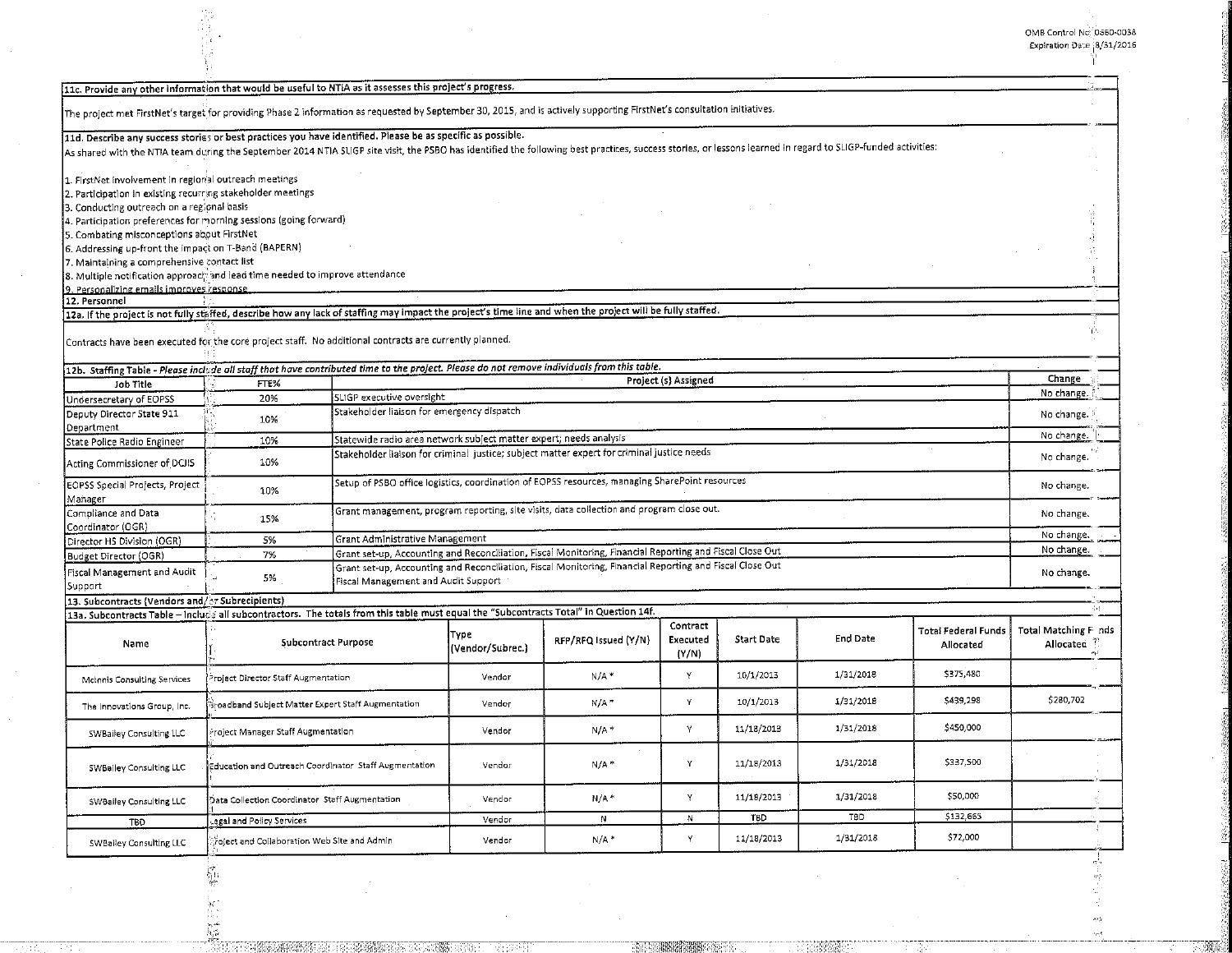I:: 칅

|                                                                                                                                                                                                                                                                                                                              |                                                       |                                                    |                                                                                                |                                                                                                          |                                          |                   |                 |                     | OMB Control Nc. 0560-0  |
|------------------------------------------------------------------------------------------------------------------------------------------------------------------------------------------------------------------------------------------------------------------------------------------------------------------------------|-------------------------------------------------------|----------------------------------------------------|------------------------------------------------------------------------------------------------|----------------------------------------------------------------------------------------------------------|------------------------------------------|-------------------|-----------------|---------------------|-------------------------|
|                                                                                                                                                                                                                                                                                                                              |                                                       |                                                    |                                                                                                |                                                                                                          |                                          |                   |                 |                     | Expiration Date 18/31/2 |
| 11c. Provide any other information that would be useful to NTIA as it assesses this project's progress.                                                                                                                                                                                                                      |                                                       |                                                    |                                                                                                |                                                                                                          |                                          |                   |                 |                     |                         |
| The project met FirstNet's target for providing Phase 2 information as requested by September 30, 2015, and is actively supporting FirstNet's consultation initiatives.                                                                                                                                                      |                                                       |                                                    |                                                                                                |                                                                                                          |                                          |                   |                 |                     |                         |
| 11d. Describe any success stories or best practices you have identified. Please be as specific as possible.<br>As shared with the NTIA team during the September 2014 NTIA SLIGP site visit, the PSBO has identified the following best practices, success stories, or lessons learned in regard to SLIGP-funded activities: |                                                       |                                                    |                                                                                                |                                                                                                          |                                          |                   |                 |                     |                         |
|                                                                                                                                                                                                                                                                                                                              |                                                       |                                                    |                                                                                                |                                                                                                          |                                          |                   |                 |                     |                         |
| 1. FirstNet involvement in regional outreach meetings<br>2. Participation in existing recurring stakeholder meetings                                                                                                                                                                                                         |                                                       |                                                    |                                                                                                |                                                                                                          |                                          |                   |                 |                     |                         |
| 3. Conducting outreach on a regional basis                                                                                                                                                                                                                                                                                   |                                                       |                                                    |                                                                                                |                                                                                                          |                                          |                   |                 |                     |                         |
| 4. Participation preferences for morning sessions (going forward)<br>5. Combating misconceptions about FirstNet                                                                                                                                                                                                              |                                                       |                                                    |                                                                                                |                                                                                                          |                                          |                   |                 |                     |                         |
| 6. Addressing up-front the impact on T-Band (BAPERN)                                                                                                                                                                                                                                                                         |                                                       |                                                    |                                                                                                |                                                                                                          |                                          |                   |                 |                     |                         |
| 7. Maintaining a comprehensive contact list                                                                                                                                                                                                                                                                                  |                                                       |                                                    |                                                                                                |                                                                                                          |                                          |                   |                 |                     |                         |
| $ {\bf 8}.$ Multiple notification approach and lead time needed to improve attendance<br>9. Personalizing emails improves response.                                                                                                                                                                                          |                                                       |                                                    |                                                                                                |                                                                                                          |                                          |                   |                 |                     |                         |
| 12. Personnel                                                                                                                                                                                                                                                                                                                |                                                       |                                                    |                                                                                                |                                                                                                          |                                          |                   |                 |                     |                         |
| 12a. If the project is not fully staffed, describe how any lack of staffing may impact the project's time line and when the project will be fully staffed.                                                                                                                                                                   |                                                       |                                                    |                                                                                                |                                                                                                          |                                          |                   |                 |                     |                         |
| Contracts have been executed for the core project staff. No additional contracts are currently planned.                                                                                                                                                                                                                      |                                                       |                                                    |                                                                                                |                                                                                                          |                                          |                   |                 |                     |                         |
| 12b. Staffing Table - Please include all staff that have contributed time to the project. Please do not remove individuals from this table.                                                                                                                                                                                  |                                                       |                                                    |                                                                                                |                                                                                                          |                                          |                   |                 |                     | Change                  |
| Job Title                                                                                                                                                                                                                                                                                                                    | FTE%                                                  | SLIGP executive oversight                          |                                                                                                |                                                                                                          | Project (s) Assigned                     |                   |                 |                     | No change.              |
| Undersecretary of EOPSS<br>Deputy Director State 911                                                                                                                                                                                                                                                                         | 20%<br>10%                                            | Stakeholder liaison for emergency dispatch         |                                                                                                |                                                                                                          |                                          |                   |                 |                     | No change.              |
| Department<br>State Police Radio Engineer                                                                                                                                                                                                                                                                                    | 10%                                                   |                                                    | Statewide radio area network subject matter expert; needs analysis                             |                                                                                                          |                                          |                   |                 |                     |                         |
| Acting Commissioner of DCJIS                                                                                                                                                                                                                                                                                                 | 10%                                                   |                                                    | Stakeholder liaison for criminal justice; subject matter expert for criminal justice needs     |                                                                                                          |                                          |                   |                 |                     |                         |
| EOPSS Special Projects, Project<br>Manager                                                                                                                                                                                                                                                                                   | 10%                                                   |                                                    | Setup of PSBO office logistics, coordination of EOPSS resources, managing SharePoint resources |                                                                                                          |                                          |                   |                 |                     |                         |
| Compliance and Data<br>Coordinator (OGR)                                                                                                                                                                                                                                                                                     | 15%                                                   |                                                    | Grant management, program reporting, site visits, data collection and program close out.       |                                                                                                          |                                          |                   |                 |                     |                         |
| Director HS Division (OGR)                                                                                                                                                                                                                                                                                                   | 5%                                                    |                                                    | Grant Administrative Management                                                                |                                                                                                          |                                          |                   |                 |                     |                         |
| Budget Director (OGR)                                                                                                                                                                                                                                                                                                        | 7%                                                    |                                                    |                                                                                                | Grant set-up, Accounting and Reconciliation, Fiscal Monitoring, Financial Reporting and Fiscal Close Out |                                          |                   |                 |                     | No change.              |
| Fiscal Management and Audit<br>Support                                                                                                                                                                                                                                                                                       | 5%                                                    | Fiscal Management and Audit Support                |                                                                                                | Grant set-up, Accounting and Reconciliation, Fiscal Monitoring, Financial Reporting and Fiscal Close Out |                                          |                   |                 |                     | No change.              |
| 13. Subcontracts (Vendors and/or Subrecipients)                                                                                                                                                                                                                                                                              |                                                       |                                                    |                                                                                                |                                                                                                          |                                          |                   |                 |                     |                         |
| 13a. Subcontracts Table - Include all subcontractors. The totals from this table must equal the "Subcontracts Total" in Question 14f.                                                                                                                                                                                        |                                                       |                                                    |                                                                                                |                                                                                                          | Contract                                 |                   |                 | Total Federal Funds | Total Matching Finds    |
| Name                                                                                                                                                                                                                                                                                                                         |                                                       | Subcontract Purpose                                | Түре<br>(Vendor/Subrec.)                                                                       | RFP/RFQ Issued (Y/N)                                                                                     | Executed<br>(Y/N)                        | <b>Start Date</b> | <b>End Date</b> | Allocated           | Allocated               |
| McInnis Consulting Services                                                                                                                                                                                                                                                                                                  | Project Director Staff Augmentation                   |                                                    | Vendor                                                                                         | $N/A$ *                                                                                                  | Y                                        | 10/1/2013         | 1/31/2018       | \$375,480           |                         |
| The Innovations Group, Inc.                                                                                                                                                                                                                                                                                                  | Broadband Subject Matter Expert Staff Augmentation    |                                                    | Vendor                                                                                         | $N/A$ *                                                                                                  | Y                                        | 10/1/2013         | 1/31/2018       | \$439,298           | \$280,702               |
| SWBailey Consulting LLC                                                                                                                                                                                                                                                                                                      | roject Manager Staff Augmentation                     |                                                    | Vendor                                                                                         | $N/A$ *                                                                                                  | Y                                        | 11/18/2013        | 1/31/2018       | \$450,000           |                         |
| SWBailey Consulting LLC                                                                                                                                                                                                                                                                                                      | Education and Outreach Coordinator Staff Augmentation |                                                    | Vendor                                                                                         | $N/A$ *                                                                                                  | Υ                                        | 11/18/2013        | 1/31/2018       | \$337,500           |                         |
| SWBailey Consulting LLC                                                                                                                                                                                                                                                                                                      | Data Collection Coordinator Staff Augmentation        |                                                    | Vendor                                                                                         | $N/A$ *                                                                                                  | Υ                                        | 11/18/2013        | 1/31/2018       | \$50,000            |                         |
| TBD                                                                                                                                                                                                                                                                                                                          | egal and Policy Services.                             |                                                    | Vendor                                                                                         | N.                                                                                                       | N                                        | TBD               | TBD             | \$132,665           |                         |
| SWBailey Consulting LLC                                                                                                                                                                                                                                                                                                      | folect and Collaboration Web Site and Admin           |                                                    | Vendor                                                                                         | $N/A$ *                                                                                                  | Y                                        | 11/18/2013        | 1/31/2018       | \$72,000            |                         |
|                                                                                                                                                                                                                                                                                                                              | $\frac{1}{2}$                                         |                                                    |                                                                                                |                                                                                                          |                                          |                   |                 |                     | $\frac{1}{\sqrt{2}}$    |
|                                                                                                                                                                                                                                                                                                                              |                                                       |                                                    |                                                                                                |                                                                                                          |                                          |                   |                 |                     |                         |
|                                                                                                                                                                                                                                                                                                                              | 图尔                                                    | TURNSMER MUSIC IN CARMED TO THE TRACK OUT OF THE T |                                                                                                |                                                                                                          | <b>The Company of Company of Company</b> |                   | <b>TERMINAL</b> |                     | 49                      |

**MER**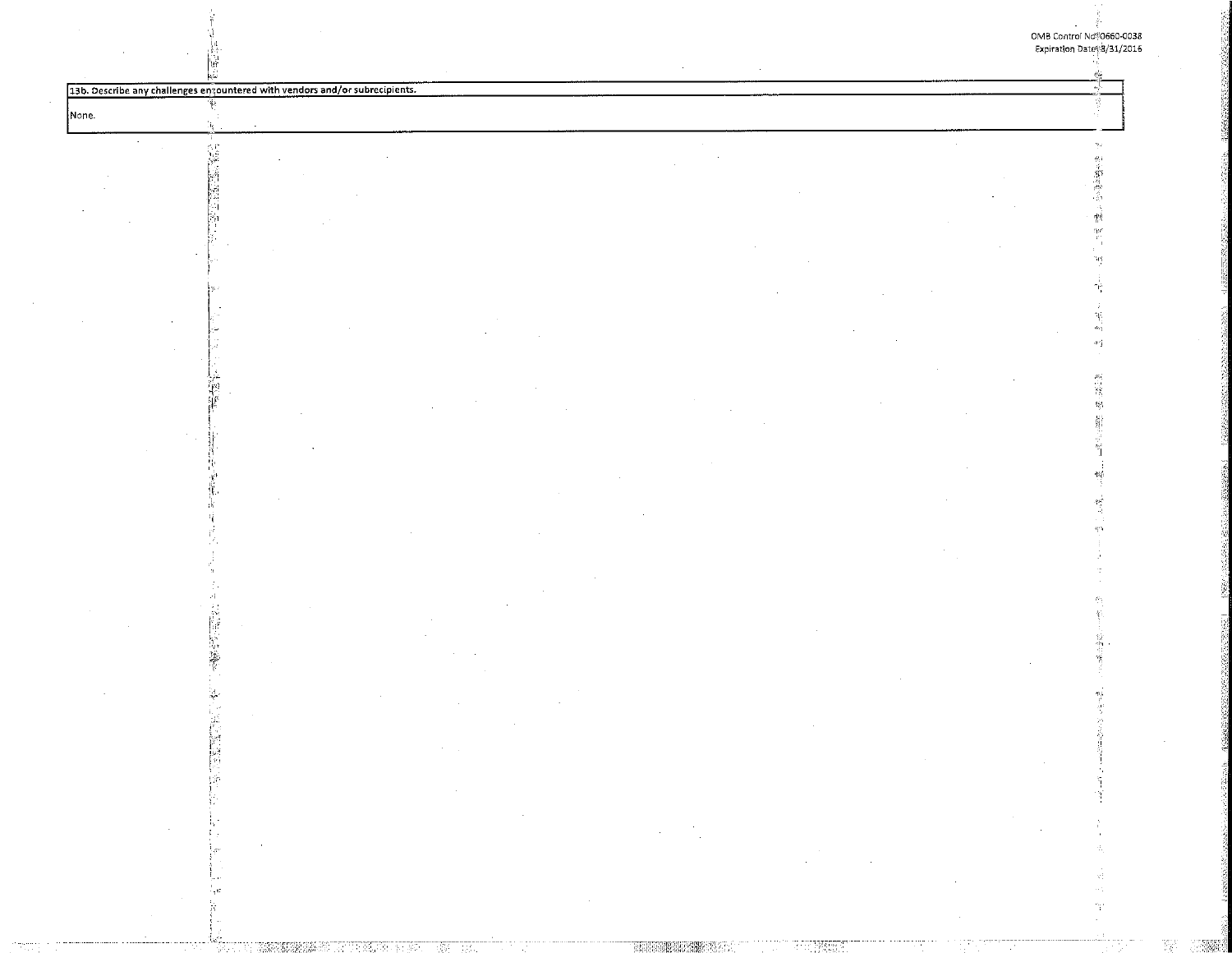$\Phi$   $\acute{\Phi}$ 

瘛

13b. Describe any challenges ensountered with vendors and/or subrecipients.

作品

None.

| ٠ |        |  |
|---|--------|--|
|   |        |  |
|   | ٠<br>٠ |  |
| × | ٠      |  |

|                                             | the control of the control of the control of the |                                                                                 |
|---------------------------------------------|--------------------------------------------------|---------------------------------------------------------------------------------|
|                                             | the control of the con-                          |                                                                                 |
|                                             |                                                  |                                                                                 |
|                                             |                                                  | the contract of the contract of the contract of the contract of the contract of |
| the contract of the contract of             |                                                  |                                                                                 |
| $\sim$<br><b>Contract Contract Contract</b> |                                                  | <b>COLLEGE</b>                                                                  |

H 小城市